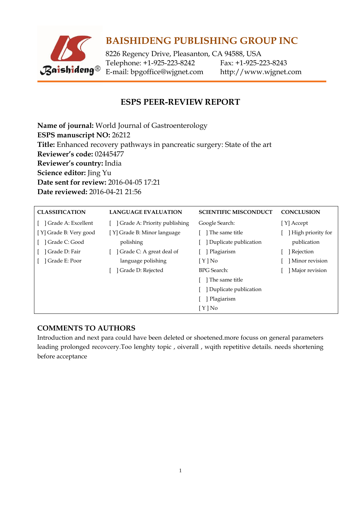

# **BAISHIDENG PUBLISHING GROUP INC**

8226 Regency Drive, Pleasanton, CA 94588, USA Telephone: +1-925-223-8242 Fax: +1-925-223-8243 E-mail: [bpgoffice@wjgnet.com](mailto:bpgoffice@wjgnet.com) http://www.wjgnet.com

### **ESPS PEER-REVIEW REPORT**

**Name of journal:** World Journal of Gastroenterology **ESPS manuscript NO:** 26212 **Title:** Enhanced recovery pathways in pancreatic surgery: State of the art **Reviewer's code:** 02445477 **Reviewer's country:** India **Science editor:** Jing Yu **Date sent for review:** 2016-04-05 17:21 **Date reviewed:** 2016-04-21 21:56

| <b>CLASSIFICATION</b>  | <b>LANGUAGE EVALUATION</b>   | <b>SCIENTIFIC MISCONDUCT</b> | <b>CONCLUSION</b> |
|------------------------|------------------------------|------------------------------|-------------------|
| ] Grade A: Excellent   | Grade A: Priority publishing | Google Search:               | [Y] Accept        |
| [Y] Grade B: Very good | [Y] Grade B: Minor language  | ] The same title             | High priority for |
| ] Grade C: Good        | polishing                    | Duplicate publication        | publication       |
| Grade D: Fair          | Grade C: A great deal of     | Plagiarism                   | ] Rejection       |
| ] Grade E: Poor        | language polishing           | $[Y]$ No                     | Minor revision    |
|                        | Grade D: Rejected            | <b>BPG</b> Search:           | Major revision    |
|                        |                              | ] The same title             |                   |
|                        |                              | Duplicate publication        |                   |
|                        |                              | Plagiarism                   |                   |
|                        |                              | $[Y]$ No                     |                   |

### **COMMENTS TO AUTHORS**

Introduction and next para could have been deleted or shoetened.more focuss on general parameters leading prolonged recovcery.Too lenghty topic , oiverall , wqith repetitive details. needs shortening before acceptance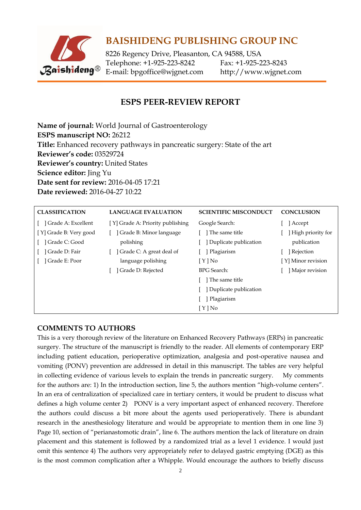

## **BAISHIDENG PUBLISHING GROUP INC**

8226 Regency Drive, Pleasanton, CA 94588, USA Telephone: +1-925-223-8242 Fax: +1-925-223-8243 E-mail: [bpgoffice@wjgnet.com](mailto:bpgoffice@wjgnet.com) http://www.wjgnet.com

### **ESPS PEER-REVIEW REPORT**

**Name of journal:** World Journal of Gastroenterology **ESPS manuscript NO:** 26212 **Title:** Enhanced recovery pathways in pancreatic surgery: State of the art **Reviewer's code:** 03529724 **Reviewer's country:** United States **Science editor:** Jing Yu **Date sent for review:** 2016-04-05 17:21 **Date reviewed:** 2016-04-27 10:22

| <b>CLASSIFICATION</b>  | <b>LANGUAGE EVALUATION</b>       | <b>SCIENTIFIC MISCONDUCT</b> | <b>CONCLUSION</b>  |
|------------------------|----------------------------------|------------------------------|--------------------|
| Grade A: Excellent     | [Y] Grade A: Priority publishing | Google Search:               | ] Accept           |
| [Y] Grade B: Very good | Grade B: Minor language          | ] The same title             | High priority for  |
| Grade C: Good          | polishing                        | Duplicate publication        | publication        |
| ] Grade D: Fair        | Grade C: A great deal of         | Plagiarism                   | Rejection          |
| Grade E: Poor          | language polishing               | $[Y]$ No                     | [Y] Minor revision |
|                        | Grade D: Rejected                | <b>BPG</b> Search:           | Major revision     |
|                        |                                  | The same title               |                    |
|                        |                                  | Duplicate publication        |                    |
|                        |                                  | Plagiarism                   |                    |
|                        |                                  | $[ Y ]$ No                   |                    |

#### **COMMENTS TO AUTHORS**

This is a very thorough review of the literature on Enhanced Recovery Pathways (ERPs) in pancreatic surgery. The structure of the manuscript is friendly to the reader. All elements of contemporary ERP including patient education, perioperative optimization, analgesia and post-operative nausea and vomiting (PONV) prevention are addressed in detail in this manuscript. The tables are very helpful in collecting evidence of various levels to explain the trends in pancreatic surgery. My comments for the authors are: 1) In the introduction section, line 5, the authors mention "high-volume centers". In an era of centralization of specialized care in tertiary centers, it would be prudent to discuss what defines a high volume center 2) PONV is a very important aspect of enhanced recovery. Therefore the authors could discuss a bit more about the agents used perioperatively. There is abundant research in the anesthesiology literature and would be appropriate to mention them in one line 3) Page 10, section of "perianastomotic drain", line 6. The authors mention the lack of literature on drain placement and this statement is followed by a randomized trial as a level 1 evidence. I would just omit this sentence 4) The authors very appropriately refer to delayed gastric emptying (DGE) as this is the most common complication after a Whipple. Would encourage the authors to briefly discuss